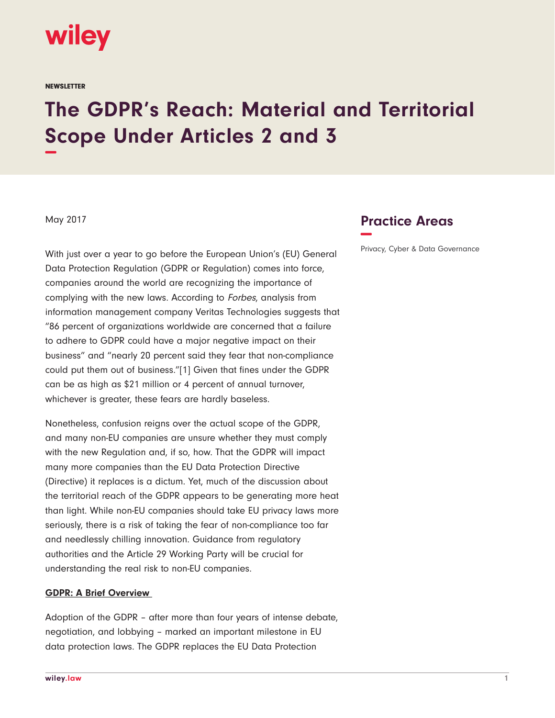

**NEWSLETTER** 

# **The GDPR's Reach: Material and Territorial Scope Under Articles 2 and 3 −**

May 2017

With just over a year to go before the European Union's (EU) General Data Protection Regulation (GDPR or Regulation) comes into force, companies around the world are recognizing the importance of complying with the new laws. According to Forbes, analysis from information management company Veritas Technologies suggests that "86 percent of organizations worldwide are concerned that a failure to adhere to GDPR could have a major negative impact on their business" and "nearly 20 percent said they fear that non-compliance could put them out of business."[1] Given that fines under the GDPR can be as high as \$21 million or 4 percent of annual turnover, whichever is greater, these fears are hardly baseless.

Nonetheless, confusion reigns over the actual scope of the GDPR, and many non-EU companies are unsure whether they must comply with the new Regulation and, if so, how. That the GDPR will impact many more companies than the EU Data Protection Directive (Directive) it replaces is a dictum. Yet, much of the discussion about the territorial reach of the GDPR appears to be generating more heat than light. While non-EU companies should take EU privacy laws more seriously, there is a risk of taking the fear of non-compliance too far and needlessly chilling innovation. Guidance from regulatory authorities and the Article 29 Working Party will be crucial for understanding the real risk to non-EU companies.

#### **GDPR: A Brief Overview**

Adoption of the GDPR – after more than four years of intense debate, negotiation, and lobbying – marked an important milestone in EU data protection laws. The GDPR replaces the EU Data Protection

## **Practice Areas −**

Privacy, Cyber & Data Governance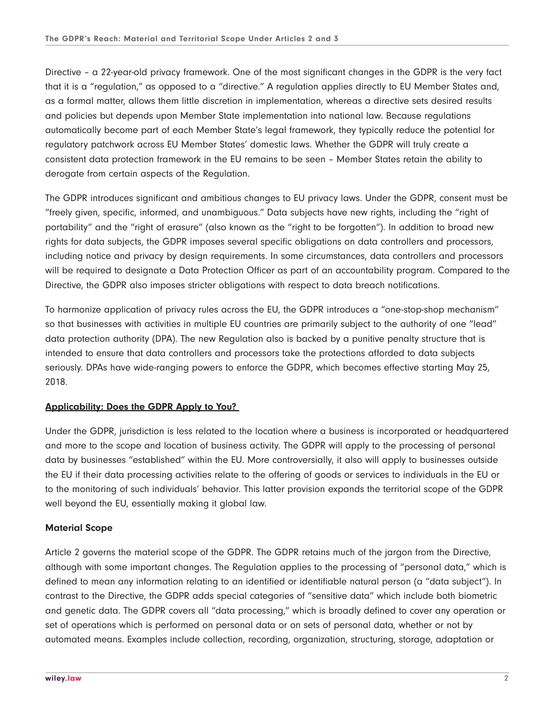Directive – a 22-year-old privacy framework. One of the most significant changes in the GDPR is the very fact that it is a "regulation," as opposed to a "directive." A regulation applies directly to EU Member States and, as a formal matter, allows them little discretion in implementation, whereas a directive sets desired results and policies but depends upon Member State implementation into national law. Because regulations automatically become part of each Member State's legal framework, they typically reduce the potential for regulatory patchwork across EU Member States' domestic laws. Whether the GDPR will truly create a consistent data protection framework in the EU remains to be seen – Member States retain the ability to derogate from certain aspects of the Regulation.

The GDPR introduces significant and ambitious changes to EU privacy laws. Under the GDPR, consent must be "freely given, specific, informed, and unambiguous." Data subjects have new rights, including the "right of portability" and the "right of erasure" (also known as the "right to be forgotten"). In addition to broad new rights for data subjects, the GDPR imposes several specific obligations on data controllers and processors, including notice and privacy by design requirements. In some circumstances, data controllers and processors will be required to designate a Data Protection Officer as part of an accountability program. Compared to the Directive, the GDPR also imposes stricter obligations with respect to data breach notifications.

To harmonize application of privacy rules across the EU, the GDPR introduces a "one-stop-shop mechanism" so that businesses with activities in multiple EU countries are primarily subject to the authority of one "lead" data protection authority (DPA). The new Regulation also is backed by a punitive penalty structure that is intended to ensure that data controllers and processors take the protections afforded to data subjects seriously. DPAs have wide-ranging powers to enforce the GDPR, which becomes effective starting May 25, 2018.

#### **Applicability: Does the GDPR Apply to You?**

Under the GDPR, jurisdiction is less related to the location where a business is incorporated or headquartered and more to the scope and location of business activity. The GDPR will apply to the processing of personal data by businesses "established" within the EU. More controversially, it also will apply to businesses outside the EU if their data processing activities relate to the offering of goods or services to individuals in the EU or to the monitoring of such individuals' behavior. This latter provision expands the territorial scope of the GDPR well beyond the EU, essentially making it global law.

#### **Material Scope**

Article 2 governs the material scope of the GDPR. The GDPR retains much of the jargon from the Directive, although with some important changes. The Regulation applies to the processing of "personal data," which is defined to mean any information relating to an identified or identifiable natural person (a "data subject"). In contrast to the Directive, the GDPR adds special categories of "sensitive data" which include both biometric and genetic data. The GDPR covers all "data processing," which is broadly defined to cover any operation or set of operations which is performed on personal data or on sets of personal data, whether or not by automated means. Examples include collection, recording, organization, structuring, storage, adaptation or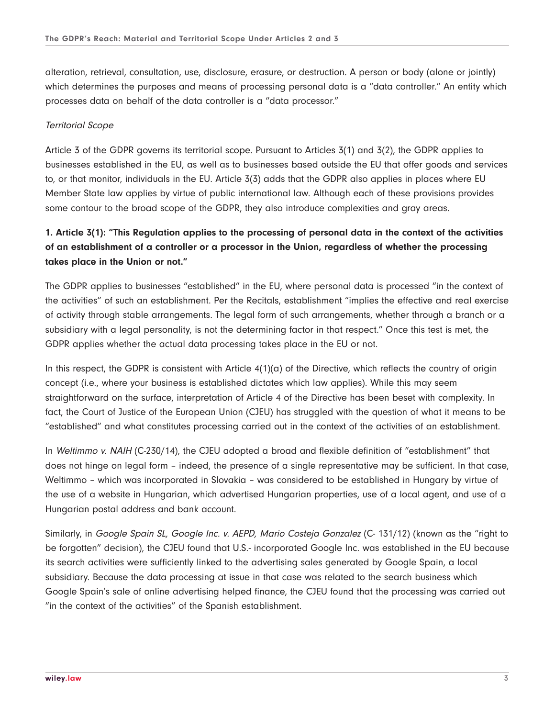alteration, retrieval, consultation, use, disclosure, erasure, or destruction. A person or body (alone or jointly) which determines the purposes and means of processing personal data is a "data controller." An entity which processes data on behalf of the data controller is a "data processor."

#### Territorial Scope

Article 3 of the GDPR governs its territorial scope. Pursuant to Articles 3(1) and 3(2), the GDPR applies to businesses established in the EU, as well as to businesses based outside the EU that offer goods and services to, or that monitor, individuals in the EU. Article 3(3) adds that the GDPR also applies in places where EU Member State law applies by virtue of public international law. Although each of these provisions provides some contour to the broad scope of the GDPR, they also introduce complexities and gray areas.

## **1. Article 3(1): "This Regulation applies to the processing of personal data in the context of the activities of an establishment of a controller or a processor in the Union, regardless of whether the processing takes place in the Union or not."**

The GDPR applies to businesses "established" in the EU, where personal data is processed "in the context of the activities" of such an establishment. Per the Recitals, establishment "implies the effective and real exercise of activity through stable arrangements. The legal form of such arrangements, whether through a branch or a subsidiary with a legal personality, is not the determining factor in that respect." Once this test is met, the GDPR applies whether the actual data processing takes place in the EU or not.

In this respect, the GDPR is consistent with Article  $4(1)(a)$  of the Directive, which reflects the country of origin concept (i.e., where your business is established dictates which law applies). While this may seem straightforward on the surface, interpretation of Article 4 of the Directive has been beset with complexity. In fact, the Court of Justice of the European Union (CJEU) has struggled with the question of what it means to be "established" and what constitutes processing carried out in the context of the activities of an establishment.

In Weltimmo v. NAIH (C-230/14), the CJEU adopted a broad and flexible definition of "establishment" that does not hinge on legal form – indeed, the presence of a single representative may be sufficient. In that case, Weltimmo – which was incorporated in Slovakia – was considered to be established in Hungary by virtue of the use of a website in Hungarian, which advertised Hungarian properties, use of a local agent, and use of a Hungarian postal address and bank account.

Similarly, in Google Spain SL, Google Inc. v. AEPD, Mario Costeja Gonzalez (C- 131/12) (known as the "right to be forgotten" decision), the CJEU found that U.S.- incorporated Google Inc. was established in the EU because its search activities were sufficiently linked to the advertising sales generated by Google Spain, a local subsidiary. Because the data processing at issue in that case was related to the search business which Google Spain's sale of online advertising helped finance, the CJEU found that the processing was carried out "in the context of the activities" of the Spanish establishment.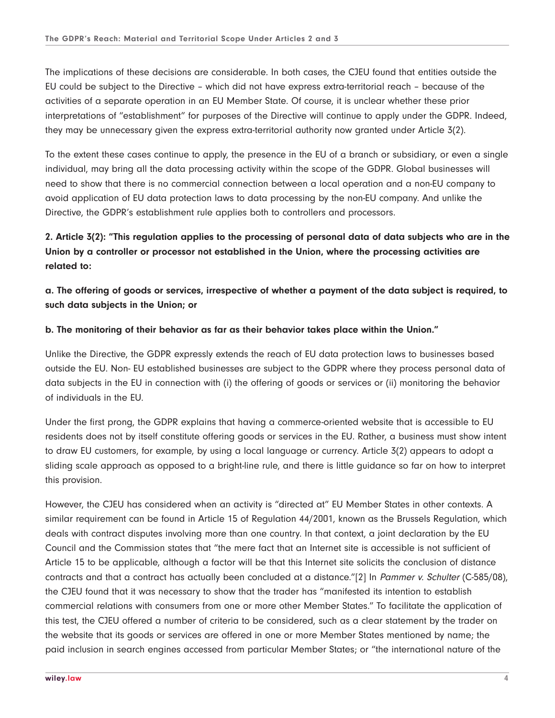The implications of these decisions are considerable. In both cases, the CJEU found that entities outside the EU could be subject to the Directive – which did not have express extra-territorial reach – because of the activities of a separate operation in an EU Member State. Of course, it is unclear whether these prior interpretations of "establishment" for purposes of the Directive will continue to apply under the GDPR. Indeed, they may be unnecessary given the express extra-territorial authority now granted under Article 3(2).

To the extent these cases continue to apply, the presence in the EU of a branch or subsidiary, or even a single individual, may bring all the data processing activity within the scope of the GDPR. Global businesses will need to show that there is no commercial connection between a local operation and a non-EU company to avoid application of EU data protection laws to data processing by the non-EU company. And unlike the Directive, the GDPR's establishment rule applies both to controllers and processors.

## **2. Article 3(2): "This regulation applies to the processing of personal data of data subjects who are in the Union by a controller or processor not established in the Union, where the processing activities are related to:**

**a. The offering of goods or services, irrespective of whether a payment of the data subject is required, to such data subjects in the Union; or**

#### **b. The monitoring of their behavior as far as their behavior takes place within the Union."**

Unlike the Directive, the GDPR expressly extends the reach of EU data protection laws to businesses based outside the EU. Non- EU established businesses are subject to the GDPR where they process personal data of data subjects in the EU in connection with (i) the offering of goods or services or (ii) monitoring the behavior of individuals in the EU.

Under the first prong, the GDPR explains that having a commerce-oriented website that is accessible to EU residents does not by itself constitute offering goods or services in the EU. Rather, a business must show intent to draw EU customers, for example, by using a local language or currency. Article 3(2) appears to adopt a sliding scale approach as opposed to a bright-line rule, and there is little guidance so far on how to interpret this provision.

However, the CJEU has considered when an activity is "directed at" EU Member States in other contexts. A similar requirement can be found in Article 15 of Regulation 44/2001, known as the Brussels Regulation, which deals with contract disputes involving more than one country. In that context, a joint declaration by the EU Council and the Commission states that "the mere fact that an Internet site is accessible is not sufficient of Article 15 to be applicable, although a factor will be that this Internet site solicits the conclusion of distance contracts and that a contract has actually been concluded at a distance."[2] In Pammer v. Schulter (C-585/08), the CJEU found that it was necessary to show that the trader has "manifested its intention to establish commercial relations with consumers from one or more other Member States." To facilitate the application of this test, the CJEU offered a number of criteria to be considered, such as a clear statement by the trader on the website that its goods or services are offered in one or more Member States mentioned by name; the paid inclusion in search engines accessed from particular Member States; or "the international nature of the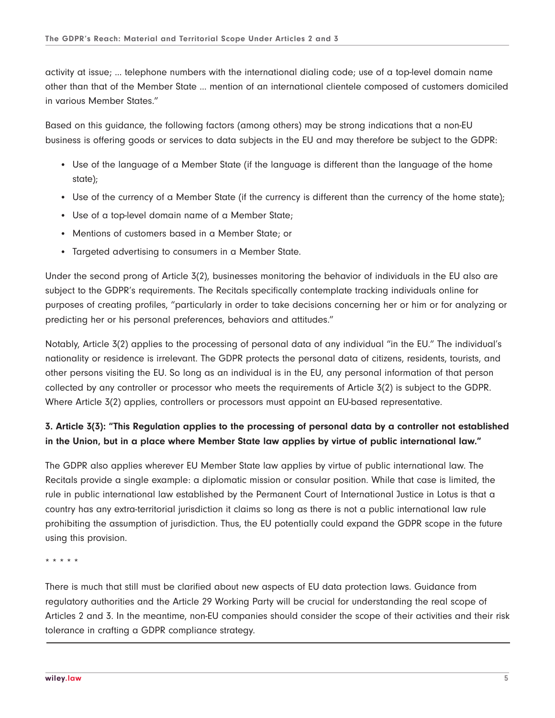activity at issue; … telephone numbers with the international dialing code; use of a top-level domain name other than that of the Member State … mention of an international clientele composed of customers domiciled in various Member States."

Based on this guidance, the following factors (among others) may be strong indications that a non-EU business is offering goods or services to data subjects in the EU and may therefore be subject to the GDPR:

- Use of the language of a Member State (if the language is different than the language of the home state);
- Use of the currency of a Member State (if the currency is different than the currency of the home state);
- Use of a top-level domain name of a Member State;
- Mentions of customers based in a Member State; or
- Targeted advertising to consumers in a Member State.

Under the second prong of Article 3(2), businesses monitoring the behavior of individuals in the EU also are subject to the GDPR's requirements. The Recitals specifically contemplate tracking individuals online for purposes of creating profiles, "particularly in order to take decisions concerning her or him or for analyzing or predicting her or his personal preferences, behaviors and attitudes."

Notably, Article 3(2) applies to the processing of personal data of any individual "in the EU." The individual's nationality or residence is irrelevant. The GDPR protects the personal data of citizens, residents, tourists, and other persons visiting the EU. So long as an individual is in the EU, any personal information of that person collected by any controller or processor who meets the requirements of Article 3(2) is subject to the GDPR. Where Article 3(2) applies, controllers or processors must appoint an EU-based representative.

### **3. Article 3(3): "This Regulation applies to the processing of personal data by a controller not established in the Union, but in a place where Member State law applies by virtue of public international law."**

The GDPR also applies wherever EU Member State law applies by virtue of public international law. The Recitals provide a single example: a diplomatic mission or consular position. While that case is limited, the rule in public international law established by the Permanent Court of International Justice in Lotus is that a country has any extra-territorial jurisdiction it claims so long as there is not a public international law rule prohibiting the assumption of jurisdiction. Thus, the EU potentially could expand the GDPR scope in the future using this provision.

\* \* \* \* \*

There is much that still must be clarified about new aspects of EU data protection laws. Guidance from regulatory authorities and the Article 29 Working Party will be crucial for understanding the real scope of Articles 2 and 3. In the meantime, non-EU companies should consider the scope of their activities and their risk tolerance in crafting a GDPR compliance strategy.  $\overline{a}$